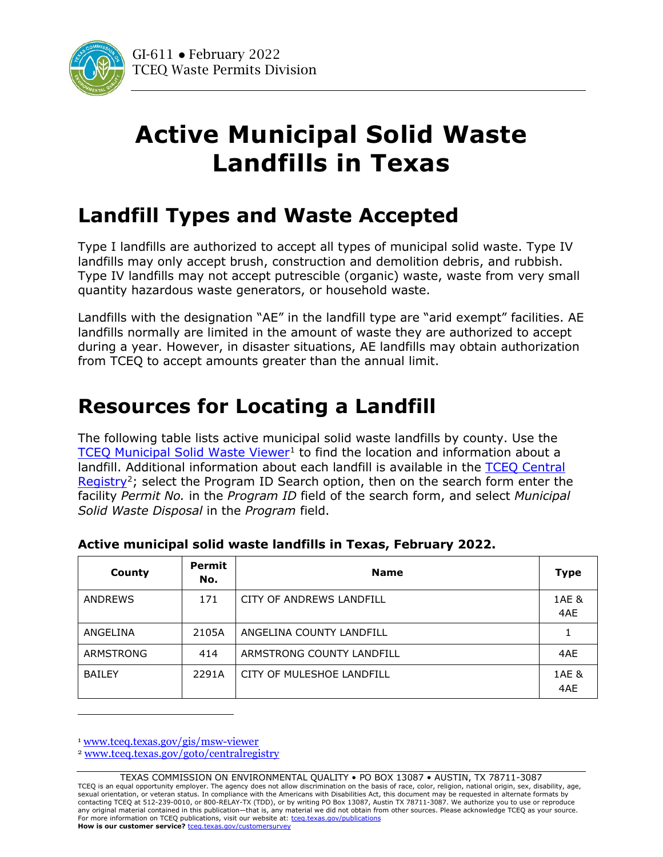

## **Active Municipal Solid Waste Landfills in Texas**

## **Landfill Types and Waste Accepted**

Type I landfills are authorized to accept all types of municipal solid waste. Type IV landfills may only accept brush, construction and demolition debris, and rubbish. Type IV landfills may not accept putrescible (organic) waste, waste from very small quantity hazardous waste generators, or household waste.

Landfills with the designation "AE" in the landfill type are "arid exempt" facilities. AE landfills normally are limited in the amount of waste they are authorized to accept during a year. However, in disaster situations, AE landfills may obtain authorization from TCEQ to accept amounts greater than the annual limit.

## **Resources for Locating a Landfill**

The following table lists active municipal solid waste landfills by county. Use the [TCEQ Municipal Solid Waste Viewer](http://www.tceq.texas.gov/gis/msw-viewer)<sup>[1](#page-0-0)</sup> to find the location and information about a landfill. Additional information about each landfill is available in the [TCEQ Central](http://www.tceq.texas.gov/goto/centralregistry)  [Registry](http://www.tceq.texas.gov/goto/centralregistry)<sup>[2](#page-0-1)</sup>; select the Program ID Search option, then on the search form enter the facility *Permit No.* in the *Program ID* field of the search form, and select *Municipal Solid Waste Disposal* in the *Program* field.

| County         | <b>Permit</b><br>No. | <b>Name</b>               | <b>Type</b>  |
|----------------|----------------------|---------------------------|--------------|
| <b>ANDREWS</b> | 171                  | CITY OF ANDREWS LANDFILL  | 1AE &<br>4AE |
| ANGELINA       | 2105A                | ANGELINA COUNTY LANDFILL  |              |
| ARMSTRONG      | 414                  | ARMSTRONG COUNTY LANDFILL | 4AE          |
| <b>BAILEY</b>  | 2291A                | CITY OF MULESHOE LANDFILL | 1AE &<br>4AE |

## **Active municipal solid waste landfills in Texas, February 2022.**

<span id="page-0-0"></span><sup>1</sup> [www.tceq.texas.gov/gis/msw-viewer](https://www.tceq.texas.gov/gis/msw-viewer)

<span id="page-0-1"></span><sup>2</sup> [www.tceq.texas.gov/goto/centralregistry](https://www.tceq.texas.gov/goto/centralregistry)

TEXAS COMMISSION ON ENVIRONMENTAL QUALITY • PO BOX 13087 • AUSTIN, TX 78711-3087 TCEQ is an equal opportunity employer. The agency does not allow discrimination on the basis of race, color, religion, national origin, sex, disability, age, sexual orientation, or veteran status. In compliance with the Americans with Disabilities Act, this document may be requested in alternate formats by contacting TCEQ at 512-239-0010, or 800-RELAY-TX (TDD), or by writing PO Box 13087, Austin TX 78711-3087. We authorize you to use or reproduce any original material contained in this publication—that is, any material we did not obtain from other sources. Please acknowledge TCEQ as your source. For more information on TCEQ publications, visit our website at: tceq.texas.gov/publications **How is our customer service? tceg.texas.gov/customersurvey**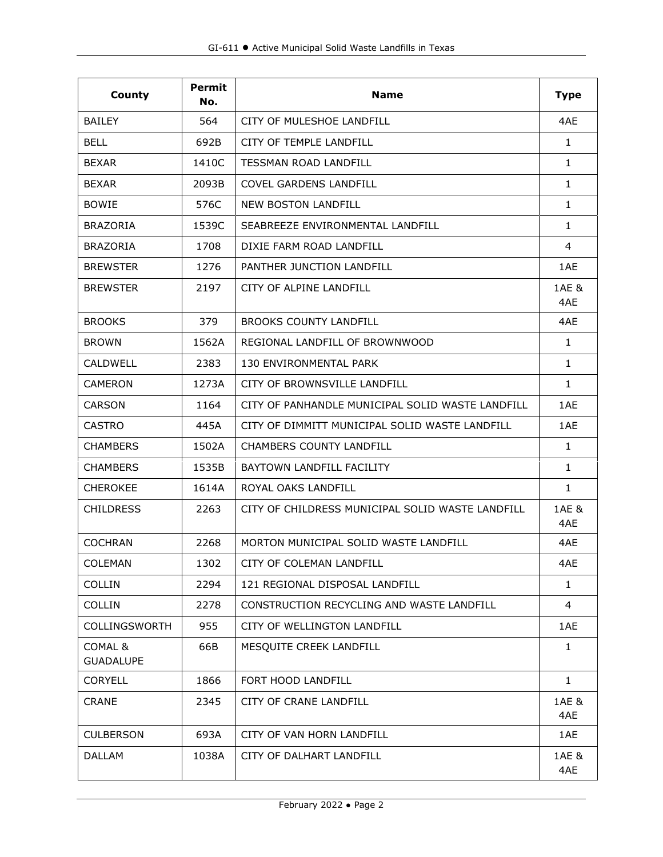| County                      | <b>Permit</b><br>No. | <b>Name</b>                                      | <b>Type</b>  |
|-----------------------------|----------------------|--------------------------------------------------|--------------|
| <b>BAILEY</b>               | 564                  | CITY OF MULESHOE LANDFILL                        | 4AE          |
| <b>BELL</b>                 | 692B                 | CITY OF TEMPLE LANDFILL                          | $\mathbf{1}$ |
| <b>BEXAR</b>                | 1410C                | <b>TESSMAN ROAD LANDFILL</b>                     | $\mathbf{1}$ |
| <b>BEXAR</b>                | 2093B                | <b>COVEL GARDENS LANDFILL</b>                    | 1            |
| <b>BOWIE</b>                | 576C                 | <b>NEW BOSTON LANDFILL</b>                       | $\mathbf{1}$ |
| <b>BRAZORIA</b>             | 1539C                | SEABREEZE ENVIRONMENTAL LANDFILL                 | $\mathbf{1}$ |
| <b>BRAZORIA</b>             | 1708                 | DIXIE FARM ROAD LANDFILL                         | 4            |
| <b>BREWSTER</b>             | 1276                 | PANTHER JUNCTION LANDFILL                        | 1AE          |
| <b>BREWSTER</b>             | 2197                 | CITY OF ALPINE LANDFILL                          | 1AE &<br>4AE |
| <b>BROOKS</b>               | 379                  | <b>BROOKS COUNTY LANDFILL</b>                    | 4AE          |
| <b>BROWN</b>                | 1562A                | REGIONAL LANDFILL OF BROWNWOOD                   | $\mathbf{1}$ |
| <b>CALDWELL</b>             | 2383                 | 130 ENVIRONMENTAL PARK                           | $\mathbf{1}$ |
| <b>CAMERON</b>              | 1273A                | CITY OF BROWNSVILLE LANDFILL                     | 1            |
| <b>CARSON</b>               | 1164                 | CITY OF PANHANDLE MUNICIPAL SOLID WASTE LANDFILL | 1AE          |
| <b>CASTRO</b>               | 445A                 | CITY OF DIMMITT MUNICIPAL SOLID WASTE LANDFILL   | 1AE          |
| <b>CHAMBERS</b>             | 1502A                | <b>CHAMBERS COUNTY LANDFILL</b>                  | $\mathbf{1}$ |
| <b>CHAMBERS</b>             | 1535B                | BAYTOWN LANDFILL FACILITY                        | $\mathbf{1}$ |
| <b>CHEROKEE</b>             | 1614A                | ROYAL OAKS LANDFILL                              | $\mathbf{1}$ |
| <b>CHILDRESS</b>            | 2263                 | CITY OF CHILDRESS MUNICIPAL SOLID WASTE LANDFILL | 1AE &<br>4AE |
| <b>COCHRAN</b>              | 2268                 | MORTON MUNICIPAL SOLID WASTE LANDFILL            | 4AE          |
| COLEMAN                     | 1302                 | CITY OF COLEMAN LANDFILL                         | 4AE          |
| <b>COLLIN</b>               | 2294                 | 121 REGIONAL DISPOSAL LANDFILL                   | 1            |
| <b>COLLIN</b>               | 2278                 | CONSTRUCTION RECYCLING AND WASTE LANDFILL        | 4            |
| COLLINGSWORTH               | 955                  | CITY OF WELLINGTON LANDFILL                      | 1AE          |
| COMAL &<br><b>GUADALUPE</b> | 66B                  | MESQUITE CREEK LANDFILL                          | $\mathbf{1}$ |
| <b>CORYELL</b>              | 1866                 | FORT HOOD LANDFILL                               | $\mathbf{1}$ |
| <b>CRANE</b>                | 2345                 | CITY OF CRANE LANDFILL                           | 1AE &<br>4AE |
| <b>CULBERSON</b>            | 693A                 | CITY OF VAN HORN LANDFILL                        | 1AE          |
| <b>DALLAM</b>               | 1038A                | CITY OF DALHART LANDFILL                         | 1AE &<br>4AE |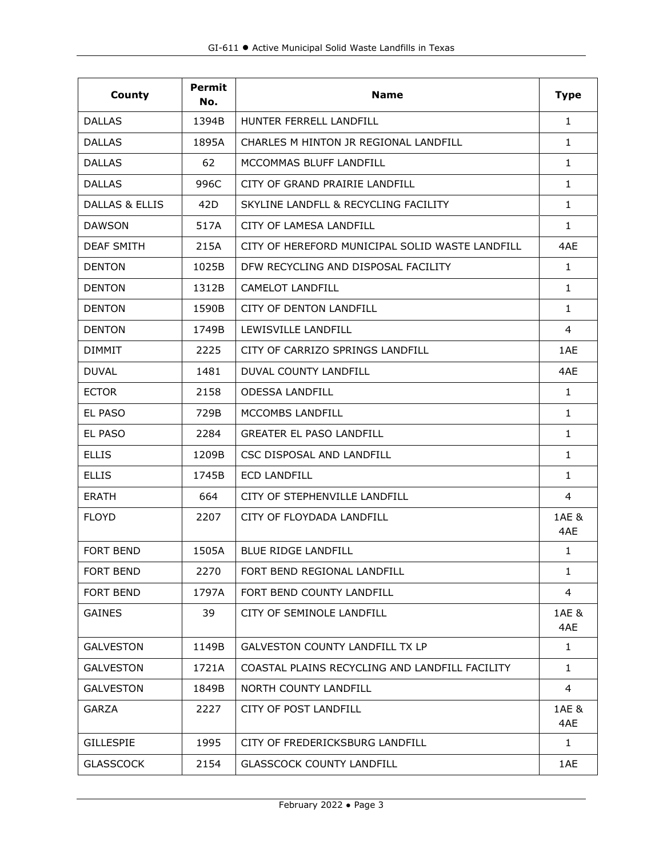| County            | Permit<br>No. | <b>Name</b>                                     | <b>Type</b>  |
|-------------------|---------------|-------------------------------------------------|--------------|
| <b>DALLAS</b>     | 1394B         | HUNTER FERRELL LANDFILL                         | $\mathbf{1}$ |
| <b>DALLAS</b>     | 1895A         | CHARLES M HINTON JR REGIONAL LANDFILL           | $\mathbf{1}$ |
| <b>DALLAS</b>     | 62            | MCCOMMAS BLUFF LANDFILL                         | $\mathbf{1}$ |
| <b>DALLAS</b>     | 996C          | CITY OF GRAND PRAIRIE LANDFILL                  | $\mathbf{1}$ |
| DALLAS & ELLIS    | 42D           | SKYLINE LANDFLL & RECYCLING FACILITY            | $\mathbf{1}$ |
| <b>DAWSON</b>     | 517A          | CITY OF LAMESA LANDFILL                         | $\mathbf{1}$ |
| <b>DEAF SMITH</b> | 215A          | CITY OF HEREFORD MUNICIPAL SOLID WASTE LANDFILL | 4AE          |
| <b>DENTON</b>     | 1025B         | DFW RECYCLING AND DISPOSAL FACILITY             | $\mathbf{1}$ |
| <b>DENTON</b>     | 1312B         | <b>CAMELOT LANDFILL</b>                         | $\mathbf{1}$ |
| <b>DENTON</b>     | 1590B         | CITY OF DENTON LANDFILL                         | $\mathbf{1}$ |
| <b>DENTON</b>     | 1749B         | LEWISVILLE LANDFILL                             | 4            |
| <b>DIMMIT</b>     | 2225          | CITY OF CARRIZO SPRINGS LANDFILL                | 1AE          |
| <b>DUVAL</b>      | 1481          | DUVAL COUNTY LANDEILL                           | 4AE          |
| <b>ECTOR</b>      | 2158          | <b>ODESSA LANDFILL</b>                          | $\mathbf{1}$ |
| <b>EL PASO</b>    | 729B          | MCCOMBS LANDFILL                                | $\mathbf{1}$ |
| EL PASO           | 2284          | <b>GREATER EL PASO LANDFILL</b>                 | $\mathbf{1}$ |
| <b>ELLIS</b>      | 1209B         | CSC DISPOSAL AND LANDFILL                       | 1            |
| <b>ELLIS</b>      | 1745B         | <b>ECD LANDFILL</b>                             | 1            |
| <b>ERATH</b>      | 664           | CITY OF STEPHENVILLE LANDFILL                   | 4            |
| <b>FLOYD</b>      | 2207          | CITY OF FLOYDADA LANDFILL                       | 1AE &<br>4AE |
| <b>FORT BEND</b>  | 1505A         | <b>BLUE RIDGE LANDFILL</b>                      | $\mathbf{1}$ |
| <b>FORT BEND</b>  | 2270          | FORT BEND REGIONAL LANDFILL                     | 1            |
| <b>FORT BEND</b>  | 1797A         | FORT BEND COUNTY LANDFILL                       | 4            |
| <b>GAINES</b>     | 39            | CITY OF SEMINOLE LANDFILL                       | 1AE &<br>4AE |
| <b>GALVESTON</b>  | 1149B         | <b>GALVESTON COUNTY LANDFILL TX LP</b>          | $\mathbf{1}$ |
| <b>GALVESTON</b>  | 1721A         | COASTAL PLAINS RECYCLING AND LANDFILL FACILITY  | $\mathbf{1}$ |
| <b>GALVESTON</b>  | 1849B         | NORTH COUNTY LANDFILL                           | 4            |
| <b>GARZA</b>      | 2227          | CITY OF POST LANDFILL                           | 1AE &<br>4AE |
| <b>GILLESPIE</b>  | 1995          | CITY OF FREDERICKSBURG LANDFILL                 | 1            |
| <b>GLASSCOCK</b>  | 2154          | <b>GLASSCOCK COUNTY LANDFILL</b>                | 1AE          |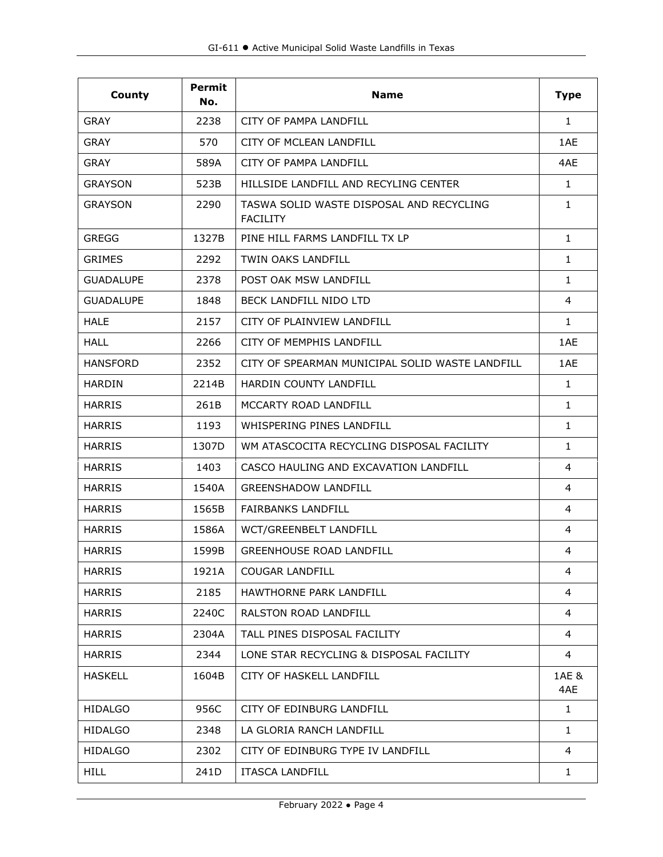| County           | <b>Permit</b><br>No. | <b>Name</b>                                                 | <b>Type</b>  |
|------------------|----------------------|-------------------------------------------------------------|--------------|
| GRAY             | 2238                 | CITY OF PAMPA LANDFILL                                      | $\mathbf{1}$ |
| <b>GRAY</b>      | 570                  | CITY OF MCLEAN LANDFILL                                     | 1AE          |
| <b>GRAY</b>      | 589A                 | CITY OF PAMPA LANDFILL                                      | 4AE          |
| <b>GRAYSON</b>   | 523B                 | HILLSIDE LANDFILL AND RECYLING CENTER                       | 1            |
| <b>GRAYSON</b>   | 2290                 | TASWA SOLID WASTE DISPOSAL AND RECYCLING<br><b>FACILITY</b> | $\mathbf{1}$ |
| <b>GREGG</b>     | 1327B                | PINE HILL FARMS LANDFILL TX LP                              | $\mathbf{1}$ |
| <b>GRIMES</b>    | 2292                 | TWIN OAKS LANDFILL                                          | 1            |
| <b>GUADALUPE</b> | 2378                 | POST OAK MSW LANDFILL                                       | 1            |
| <b>GUADALUPE</b> | 1848                 | BECK LANDFILL NIDO LTD                                      | 4            |
| <b>HALE</b>      | 2157                 | CITY OF PLAINVIEW LANDFILL                                  | $\mathbf{1}$ |
| <b>HALL</b>      | 2266                 | CITY OF MEMPHIS LANDFILL                                    | 1AE          |
| <b>HANSFORD</b>  | 2352                 | CITY OF SPEARMAN MUNICIPAL SOLID WASTE LANDFILL             | 1AE          |
| <b>HARDIN</b>    | 2214B                | <b>HARDIN COUNTY LANDFILL</b>                               | $\mathbf{1}$ |
| <b>HARRIS</b>    | 261B                 | MCCARTY ROAD LANDFILL                                       | $\mathbf{1}$ |
| <b>HARRIS</b>    | 1193                 | WHISPERING PINES LANDFILL                                   | $\mathbf{1}$ |
| <b>HARRIS</b>    | 1307D                | WM ATASCOCITA RECYCLING DISPOSAL FACILITY                   | 1            |
| <b>HARRIS</b>    | 1403                 | CASCO HAULING AND EXCAVATION LANDFILL                       | 4            |
| <b>HARRIS</b>    | 1540A                | <b>GREENSHADOW LANDFILL</b>                                 | 4            |
| <b>HARRIS</b>    | 1565B                | <b>FAIRBANKS LANDFILL</b>                                   | 4            |
| <b>HARRIS</b>    | 1586A                | WCT/GREENBELT LANDFILL                                      | 4            |
| <b>HARRIS</b>    | 1599B                | <b>GREENHOUSE ROAD LANDFILL</b>                             | 4            |
| <b>HARRIS</b>    | 1921A                | <b>COUGAR LANDFILL</b>                                      | 4            |
| <b>HARRIS</b>    | 2185                 | <b>HAWTHORNE PARK LANDFILL</b>                              | 4            |
| <b>HARRIS</b>    | 2240C                | RALSTON ROAD LANDFILL                                       | 4            |
| <b>HARRIS</b>    | 2304A                | TALL PINES DISPOSAL FACILITY                                | 4            |
| <b>HARRIS</b>    | 2344                 | LONE STAR RECYCLING & DISPOSAL FACILITY                     | 4            |
| <b>HASKELL</b>   | 1604B                | CITY OF HASKELL LANDFILL                                    | 1AE &<br>4AE |
| <b>HIDALGO</b>   | 956C                 | CITY OF EDINBURG LANDFILL                                   | 1            |
| <b>HIDALGO</b>   | 2348                 | LA GLORIA RANCH LANDFILL                                    | 1            |
| <b>HIDALGO</b>   | 2302                 | CITY OF EDINBURG TYPE IV LANDFILL                           | 4            |
| <b>HILL</b>      | 241D                 | <b>ITASCA LANDFILL</b>                                      | $\mathbf{1}$ |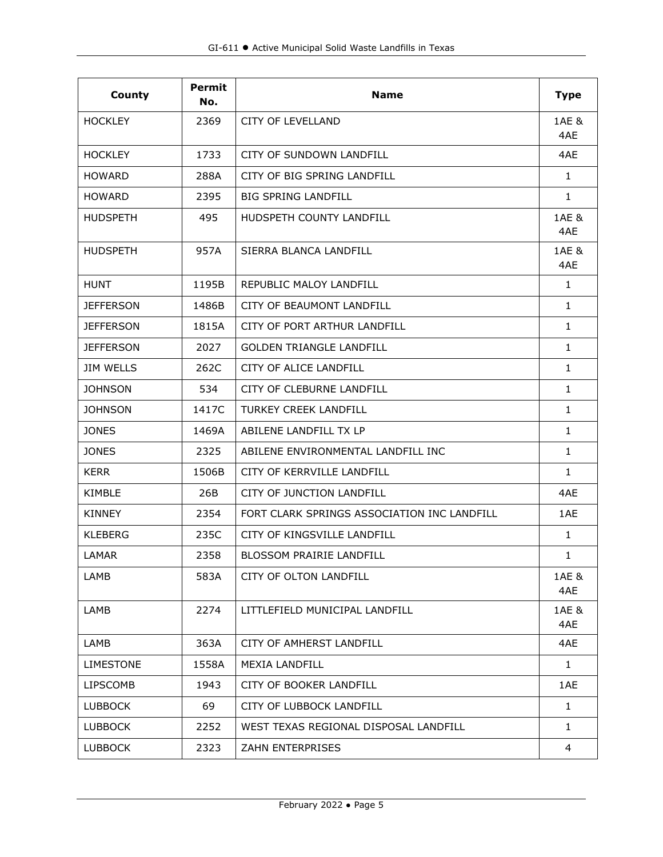| County           | <b>Permit</b><br>No. | <b>Name</b>                                 | <b>Type</b>  |
|------------------|----------------------|---------------------------------------------|--------------|
| <b>HOCKLEY</b>   | 2369                 | <b>CITY OF LEVELLAND</b>                    | 1AE &<br>4AE |
| <b>HOCKLEY</b>   | 1733                 | CITY OF SUNDOWN LANDFILL                    | 4AE          |
| <b>HOWARD</b>    | 288A                 | CITY OF BIG SPRING LANDFILL                 | $\mathbf{1}$ |
| <b>HOWARD</b>    | 2395                 | <b>BIG SPRING LANDFILL</b>                  | $\mathbf{1}$ |
| <b>HUDSPETH</b>  | 495                  | HUDSPETH COUNTY LANDFILL                    | 1AE &<br>4AE |
| <b>HUDSPETH</b>  | 957A                 | SIERRA BLANCA LANDFILL                      | 1AE &<br>4AE |
| <b>HUNT</b>      | 1195B                | REPUBLIC MALOY LANDFILL                     | $\mathbf{1}$ |
| <b>JEFFERSON</b> | 1486B                | CITY OF BEAUMONT LANDFILL                   | $\mathbf{1}$ |
| <b>JEFFERSON</b> | 1815A                | CITY OF PORT ARTHUR LANDFILL                | 1            |
| <b>JEFFERSON</b> | 2027                 | <b>GOLDEN TRIANGLE LANDFILL</b>             | 1            |
| <b>JIM WELLS</b> | 262C                 | CITY OF ALICE LANDFILL                      | $\mathbf{1}$ |
| <b>JOHNSON</b>   | 534                  | CITY OF CLEBURNE LANDFILL                   | $\mathbf{1}$ |
| <b>JOHNSON</b>   | 1417C                | <b>TURKEY CREEK LANDFILL</b>                | $\mathbf{1}$ |
| <b>JONES</b>     | 1469A                | ABILENE LANDFILL TX LP                      | $\mathbf{1}$ |
| <b>JONES</b>     | 2325                 | ABILENE ENVIRONMENTAL LANDFILL INC          | $\mathbf{1}$ |
| <b>KERR</b>      | 1506B                | CITY OF KERRVILLE LANDFILL                  | $\mathbf{1}$ |
| <b>KIMBLE</b>    | 26B                  | CITY OF JUNCTION LANDFILL                   | 4AE          |
| <b>KINNEY</b>    | 2354                 | FORT CLARK SPRINGS ASSOCIATION INC LANDFILL | 1AE          |
| <b>KLEBERG</b>   | 235C                 | CITY OF KINGSVILLE LANDFILL                 | 1            |
| LAMAR            | 2358                 | <b>BLOSSOM PRAIRIE LANDFILL</b>             | 1            |
| LAMB             | 583A                 | CITY OF OLTON LANDFILL                      | 1AE &<br>4AE |
| LAMB             | 2274                 | LITTLEFIELD MUNICIPAL LANDFILL              | 1AE &<br>4AE |
| LAMB             | 363A                 | CITY OF AMHERST LANDFILL                    | 4AE          |
| LIMESTONE        | 1558A                | <b>MEXIA LANDFILL</b>                       | $\mathbf{1}$ |
| <b>LIPSCOMB</b>  | 1943                 | CITY OF BOOKER LANDFILL                     | 1AE          |
| <b>LUBBOCK</b>   | 69                   | CITY OF LUBBOCK LANDFILL                    | $\mathbf{1}$ |
| <b>LUBBOCK</b>   | 2252                 | WEST TEXAS REGIONAL DISPOSAL LANDFILL       | 1            |
| <b>LUBBOCK</b>   | 2323                 | <b>ZAHN ENTERPRISES</b>                     | 4            |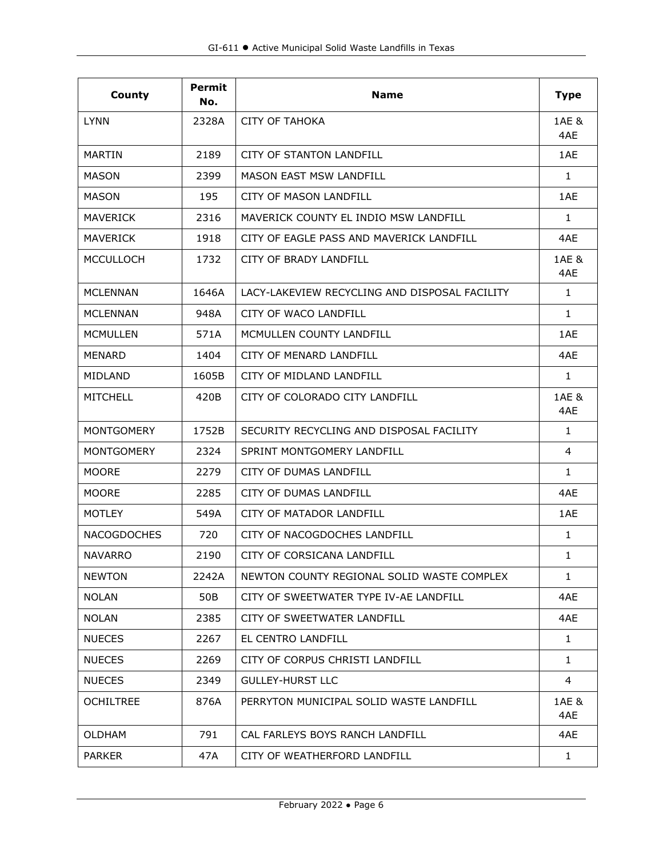| County             | <b>Permit</b><br>No. | <b>Name</b>                                   | <b>Type</b>  |
|--------------------|----------------------|-----------------------------------------------|--------------|
| <b>LYNN</b>        | 2328A                | <b>CITY OF TAHOKA</b>                         | 1AE &<br>4AE |
| MARTIN             | 2189                 | <b>CITY OF STANTON LANDFILL</b>               | 1AE          |
| <b>MASON</b>       | 2399                 | <b>MASON EAST MSW LANDFILL</b>                | $\mathbf{1}$ |
| <b>MASON</b>       | 195                  | <b>CITY OF MASON LANDFILL</b>                 | 1AE          |
| <b>MAVERICK</b>    | 2316                 | MAVERICK COUNTY EL INDIO MSW LANDFILL         | 1            |
| <b>MAVERICK</b>    | 1918                 | CITY OF EAGLE PASS AND MAVERICK LANDFILL      | 4AE          |
| <b>MCCULLOCH</b>   | 1732                 | CITY OF BRADY LANDFILL                        | 1AE &<br>4AE |
| MCLENNAN           | 1646A                | LACY-LAKEVIEW RECYCLING AND DISPOSAL FACILITY | 1            |
| <b>MCLENNAN</b>    | 948A                 | CITY OF WACO LANDFILL                         | 1            |
| <b>MCMULLEN</b>    | 571A                 | MCMULLEN COUNTY LANDFILL                      | 1AE          |
| MENARD             | 1404                 | CITY OF MENARD LANDFILL                       | 4AE          |
| <b>MIDLAND</b>     | 1605B                | CITY OF MIDI AND LANDEILL                     | $\mathbf{1}$ |
| <b>MITCHELL</b>    | 420B                 | CITY OF COLORADO CITY LANDFILL                | 1AE &<br>4AE |
| <b>MONTGOMERY</b>  | 1752B                | SECURITY RECYCLING AND DISPOSAL FACILITY      | 1            |
| <b>MONTGOMERY</b>  | 2324                 | SPRINT MONTGOMERY LANDFILL                    | 4            |
| <b>MOORE</b>       | 2279                 | CITY OF DUMAS LANDFILL                        | $\mathbf{1}$ |
| <b>MOORE</b>       | 2285                 | CITY OF DUMAS LANDFILL                        | 4AE          |
| <b>MOTLEY</b>      | 549A                 | CITY OF MATADOR LANDFILL                      | 1AE          |
| <b>NACOGDOCHES</b> | 720                  | CITY OF NACOGDOCHES LANDFILL                  | 1            |
| NAVARRO            | 2190                 | CITY OF CORSICANA LANDFILL                    | $\mathbf{1}$ |
| <b>NEWTON</b>      | 2242A                | NEWTON COUNTY REGIONAL SOLID WASTE COMPLEX    | $\mathbf{1}$ |
| <b>NOLAN</b>       | 50B                  | CITY OF SWEETWATER TYPE IV-AE LANDFILL        | 4AE          |
| <b>NOLAN</b>       | 2385                 | CITY OF SWEETWATER LANDFILL                   | 4AE          |
| <b>NUECES</b>      | 2267                 | EL CENTRO LANDFILL                            | $\mathbf{1}$ |
| <b>NUECES</b>      | 2269                 | CITY OF CORPUS CHRISTI LANDFILL               | $\mathbf{1}$ |
| <b>NUECES</b>      | 2349                 | GULLEY-HURST LLC                              | 4            |
| <b>OCHILTREE</b>   | 876A                 | PERRYTON MUNICIPAL SOLID WASTE LANDFILL       | 1AE &<br>4AE |
| <b>OLDHAM</b>      | 791                  | CAL FARLEYS BOYS RANCH LANDFILL               | 4AE          |
| <b>PARKER</b>      | 47A                  | CITY OF WEATHERFORD LANDFILL                  | $\mathbf{1}$ |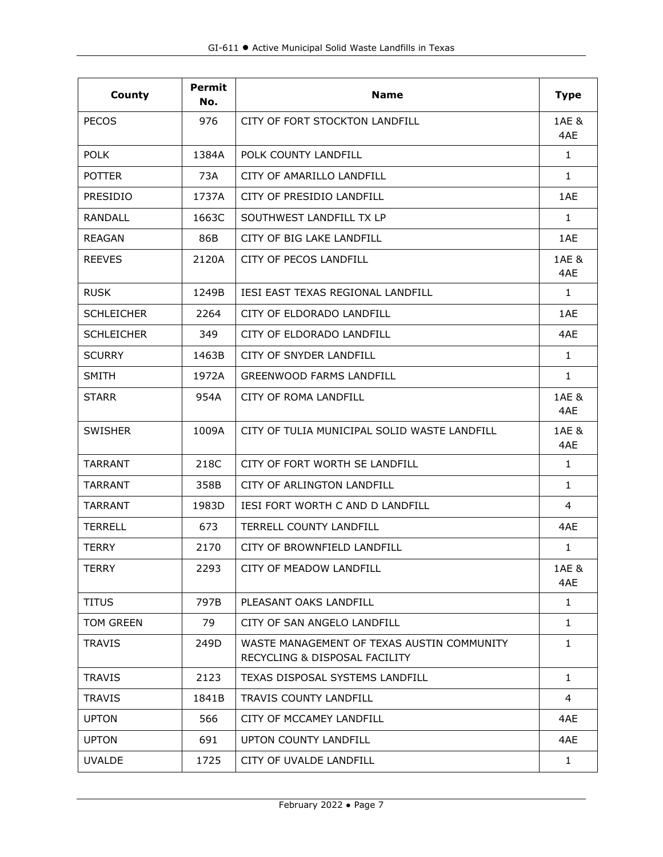| County            | <b>Permit</b><br>No. | <b>Name</b>                                                                 | <b>Type</b>  |
|-------------------|----------------------|-----------------------------------------------------------------------------|--------------|
| <b>PECOS</b>      | 976                  | CITY OF FORT STOCKTON LANDFILL                                              | 1AE &<br>4AE |
| <b>POLK</b>       | 1384A                | POLK COUNTY LANDFILL                                                        | $\mathbf{1}$ |
| <b>POTTER</b>     | 73A                  | CITY OF AMARILLO LANDFILL                                                   | $\mathbf{1}$ |
| <b>PRESIDIO</b>   | 1737A                | CITY OF PRESIDIO LANDEILL                                                   | 1AE          |
| <b>RANDALL</b>    | 1663C                | SOUTHWEST LANDFILL TX LP                                                    | 1            |
| <b>REAGAN</b>     | 86B                  | CITY OF BIG LAKE LANDFILL                                                   | 1AE          |
| <b>REEVES</b>     | 2120A                | CITY OF PECOS LANDFILL                                                      | 1AE &<br>4AE |
| <b>RUSK</b>       | 1249B                | <b>IESI EAST TEXAS REGIONAL LANDFILL</b>                                    | $\mathbf{1}$ |
| <b>SCHLEICHER</b> | 2264                 | CITY OF ELDORADO LANDFILL                                                   | 1AE          |
| <b>SCHLEICHER</b> | 349                  | CITY OF ELDORADO LANDFILL                                                   | 4AE          |
| <b>SCURRY</b>     | 1463B                | CITY OF SNYDER LANDFILL                                                     | $\mathbf{1}$ |
| <b>SMITH</b>      | 1972A                | <b>GREENWOOD FARMS LANDFILL</b>                                             | $\mathbf{1}$ |
| <b>STARR</b>      | 954A                 | <b>CITY OF ROMA LANDFILL</b>                                                | 1AE &<br>4AE |
| <b>SWISHER</b>    | 1009A                | CITY OF TULIA MUNICIPAL SOLID WASTE LANDFILL                                | 1AE &<br>4AE |
| <b>TARRANT</b>    | 218C                 | CITY OF FORT WORTH SE LANDFILL                                              | 1            |
| TARRANT           | 358B                 | CITY OF ARLINGTON LANDFILL                                                  | $\mathbf{1}$ |
| <b>TARRANT</b>    | 1983D                | <b>IESI FORT WORTH C AND D LANDFILL</b>                                     | 4            |
| <b>TERRELL</b>    | 673                  | <b>TERRELL COUNTY LANDFILL</b>                                              | 4AE          |
| <b>TERRY</b>      | 2170                 | CITY OF BROWNFIFLD LANDFILL                                                 | $\mathbf{1}$ |
| TERRY             | 2293                 | CITY OF MEADOW LANDFILL                                                     | 1AE &<br>4AE |
| <b>TITUS</b>      | 797B                 | PLEASANT OAKS LANDFILL                                                      | $\mathbf{1}$ |
| TOM GREEN         | 79                   | CITY OF SAN ANGELO LANDFILL                                                 | $\mathbf{1}$ |
| <b>TRAVIS</b>     | 249D                 | WASTE MANAGEMENT OF TEXAS AUSTIN COMMUNITY<br>RECYCLING & DISPOSAL FACILITY | 1            |
| <b>TRAVIS</b>     | 2123                 | TEXAS DISPOSAL SYSTEMS LANDFILL                                             | 1            |
| <b>TRAVIS</b>     | 1841B                | <b>TRAVIS COUNTY LANDFILL</b>                                               | 4            |
| <b>UPTON</b>      | 566                  | CITY OF MCCAMEY LANDFILL                                                    | 4AE          |
| <b>UPTON</b>      | 691                  | UPTON COUNTY LANDFILL                                                       | 4AE          |
| <b>UVALDE</b>     | 1725                 | CITY OF UVALDE LANDFILL                                                     | $\mathbf{1}$ |